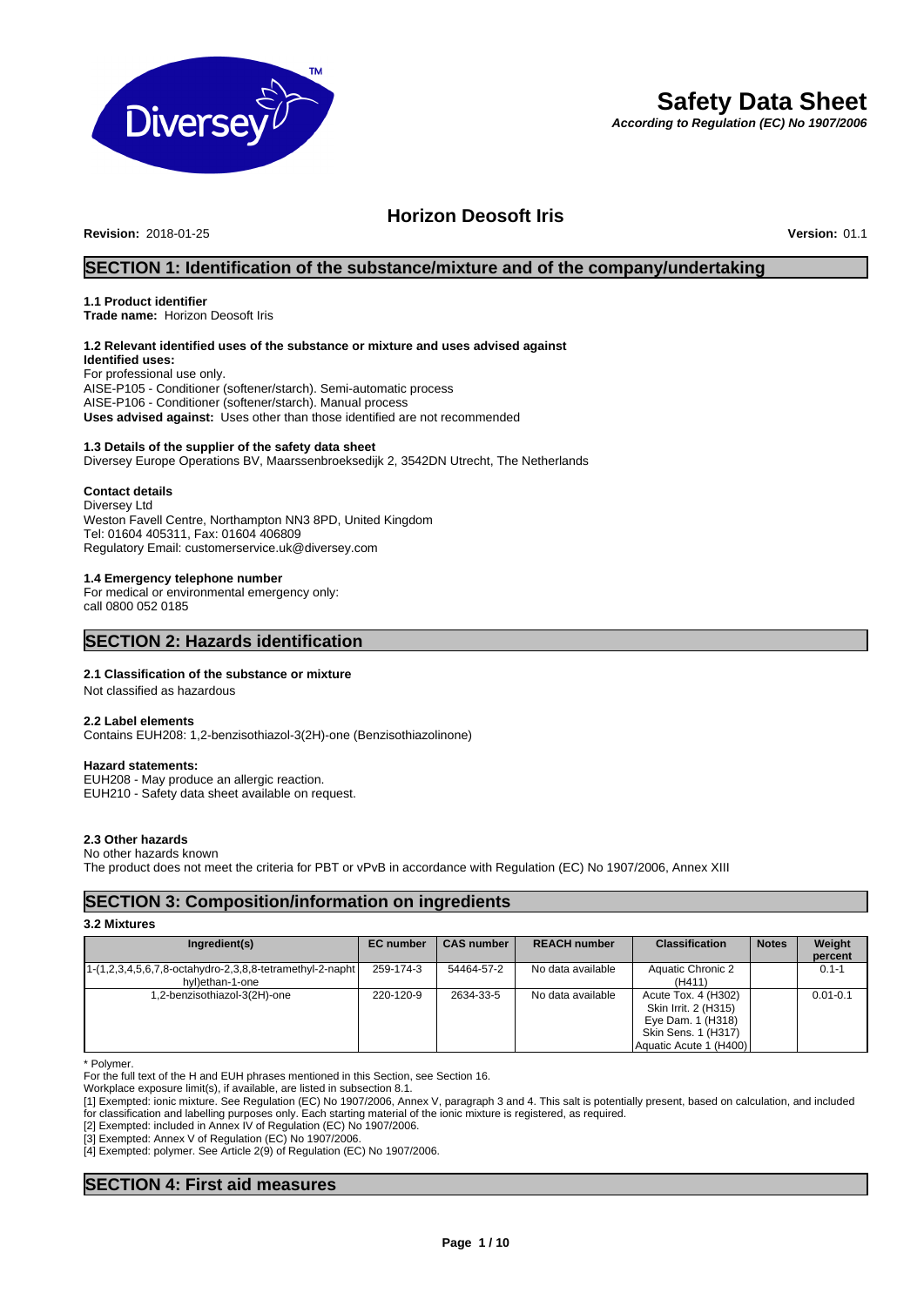

# **Safety Data Sheet**

*According to Regulation (EC) No 1907/2006*

# **Horizon Deosoft Iris**

**Revision:** 2018-01-25 **Version:** 01.1

### **SECTION 1: Identification of the substance/mixture and of the company/undertaking**

#### **1.1 Product identifier**

**Trade name:** Horizon Deosoft Iris

## **1.2 Relevant identified uses of the substance or mixture and uses advised against**

**Identified uses:** For professional use only. AISE-P105 - Conditioner (softener/starch). Semi-automatic process AISE-P106 - Conditioner (softener/starch). Manual process **Uses advised against:** Uses other than those identified are not recommended

#### **1.3 Details of the supplier of the safety data sheet**

Diversey Europe Operations BV, Maarssenbroeksedijk 2, 3542DN Utrecht, The Netherlands

#### **Contact details**

Diversey Ltd Weston Favell Centre, Northampton NN3 8PD, United Kingdom Tel: 01604 405311, Fax: 01604 406809 Regulatory Email: customerservice.uk@diversey.com

### **1.4 Emergency telephone number**

For medical or environmental emergency only: call 0800 052 0185

### **SECTION 2: Hazards identification**

#### **2.1 Classification of the substance or mixture**

Not classified as hazardous

#### **2.2 Label elements**

Contains EUH208: 1,2-benzisothiazol-3(2H)-one (Benzisothiazolinone)

#### **Hazard statements:**

EUH208 - May produce an allergic reaction. EUH210 - Safety data sheet available on request.

### **2.3 Other hazards**

No other hazards known The product does not meet the criteria for PBT or vPvB in accordance with Regulation (EC) No 1907/2006, Annex XIII

### **SECTION 3: Composition/information on ingredients**

### **3.2 Mixtures**

| Ingredient(s)                                                                 | <b>EC</b> number | <b>CAS number</b> | <b>REACH number</b> | <b>Classification</b>                                                                                             | <b>Notes</b> | Weight<br>percent |
|-------------------------------------------------------------------------------|------------------|-------------------|---------------------|-------------------------------------------------------------------------------------------------------------------|--------------|-------------------|
| [1-(1,2,3,4,5,6,7,8-octahydro-2,3,8,8-tetramethyl-2-napht]<br>hyl)ethan-1-one | 259-174-3        | 54464-57-2        | No data available   | <b>Aquatic Chronic 2</b><br>(H411)                                                                                |              | $0.1 - 1$         |
| 1,2-benzisothiazol-3(2H)-one                                                  | 220-120-9        | 2634-33-5         | No data available   | Acute Tox. 4 (H302)<br>Skin Irrit. 2 (H315)<br>Eye Dam. 1 (H318)<br>Skin Sens. 1 (H317)<br>Aquatic Acute 1 (H400) |              | $0.01 - 0.1$      |

\* Polymer.

For the full text of the H and EUH phrases mentioned in this Section, see Section 16.

Workplace exposure limit(s), if available, are listed in subsection 8.1.

[1] Exempted: ionic mixture. See Regulation (EC) No 1907/2006, Annex V, paragraph 3 and 4. This salt is potentially present, based on calculation, and included for classification and labelling purposes only. Each starting material of the ionic mixture is registered, as required.

[2] Exempted: included in Annex IV of Regulation (EC) No 1907/2006.

[3] Exempted: Annex V of Regulation (EC) No 1907/2006.

[4] Exempted: polymer. See Article 2(9) of Regulation (EC) No 1907/2006.

### **SECTION 4: First aid measures**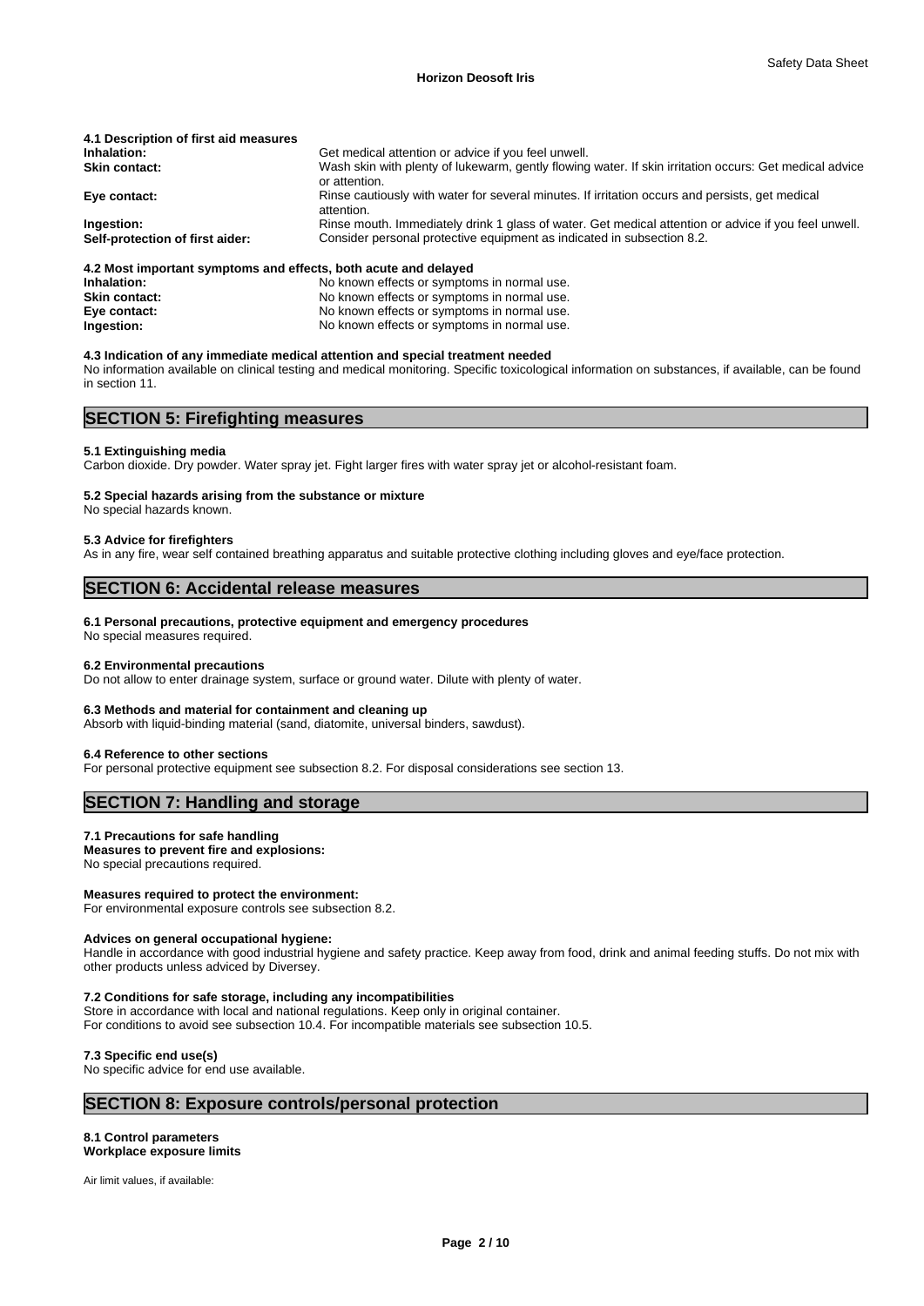| 4.1 Description of first aid measures                           |                                                                                                                         |
|-----------------------------------------------------------------|-------------------------------------------------------------------------------------------------------------------------|
| Inhalation:                                                     | Get medical attention or advice if you feel unwell.                                                                     |
| <b>Skin contact:</b>                                            | Wash skin with plenty of lukewarm, gently flowing water. If skin irritation occurs: Get medical advice<br>or attention. |
| Eye contact:                                                    | Rinse cautiously with water for several minutes. If irritation occurs and persists, get medical<br>attention.           |
| Ingestion:                                                      | Rinse mouth. Immediately drink 1 glass of water. Get medical attention or advice if you feel unwell.                    |
| Self-protection of first aider:                                 | Consider personal protective equipment as indicated in subsection 8.2.                                                  |
| 4.2 Most important symptoms and effects, both acute and delayed |                                                                                                                         |

**Inhalation:** No known effects or symptoms in normal use.<br> **Skin contact:** No known effects or symptoms in normal use. No known effects or symptoms in normal use. **Eye contact:** No known effects or symptoms in normal use. **Ingestion:** No known effects or symptoms in normal use.

#### **4.3 Indication of any immediate medical attention and special treatment needed**

No information available on clinical testing and medical monitoring. Specific toxicological information on substances, if available, can be found in section 11.

### **SECTION 5: Firefighting measures**

#### **5.1 Extinguishing media**

Carbon dioxide. Dry powder. Water spray jet. Fight larger fires with water spray jet or alcohol-resistant foam.

#### **5.2 Special hazards arising from the substance or mixture**

No special hazards known.

### **5.3 Advice for firefighters**

As in any fire, wear self contained breathing apparatus and suitable protective clothing including gloves and eye/face protection.

### **SECTION 6: Accidental release measures**

#### **6.1 Personal precautions, protective equipment and emergency procedures**

No special measures required.

#### **6.2 Environmental precautions**

Do not allow to enter drainage system, surface or ground water. Dilute with plenty of water.

#### **6.3 Methods and material for containment and cleaning up**

Absorb with liquid-binding material (sand, diatomite, universal binders, sawdust).

#### **6.4 Reference to other sections**

For personal protective equipment see subsection 8.2. For disposal considerations see section 13.

### **SECTION 7: Handling and storage**

#### **7.1 Precautions for safe handling**

**Measures to prevent fire and explosions:**

No special precautions required.

#### **Measures required to protect the environment:**

For environmental exposure controls see subsection 8.2.

#### **Advices on general occupational hygiene:**

Handle in accordance with good industrial hygiene and safety practice. Keep away from food, drink and animal feeding stuffs. Do not mix with other products unless adviced by Diversey.

#### **7.2 Conditions for safe storage, including any incompatibilities**

Store in accordance with local and national regulations. Keep only in original container. For conditions to avoid see subsection 10.4. For incompatible materials see subsection 10.5.

#### **7.3 Specific end use(s)**

No specific advice for end use available.

### **SECTION 8: Exposure controls/personal protection**

#### **8.1 Control parameters Workplace exposure limits**

Air limit values, if available: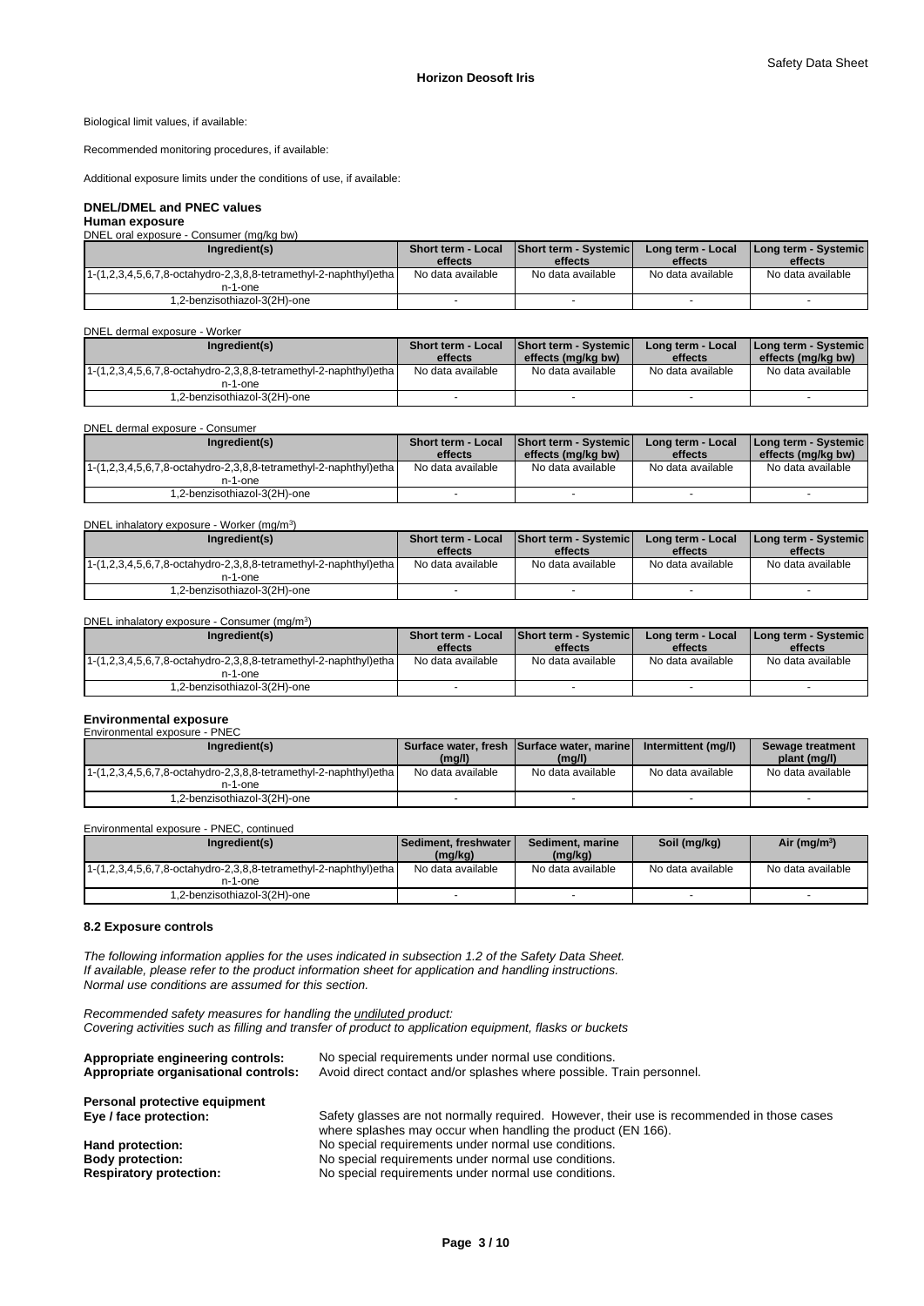#### Biological limit values, if available:

Recommended monitoring procedures, if available:

Additional exposure limits under the conditions of use, if available:

#### **DNEL/DMEL and PNEC values**

**Human exposure** DNEL oral exposure - Consumer (mg/kg bw)

| Ingredient(s)                                                       | <b>Short term - Local</b><br>effects | <b>Short term - Systemic I</b><br>effects | Long term - Local<br>effects | I Long term - Systemic I<br>effects |
|---------------------------------------------------------------------|--------------------------------------|-------------------------------------------|------------------------------|-------------------------------------|
| $1-(1,2,3,4,5,6,7,8-octahydro-2,3,8,8-tetramethyl-2-naphthylletha)$ | No data available                    | No data available                         | No data available            | No data available                   |
| n-1-one                                                             |                                      |                                           |                              |                                     |
| 1,2-benzisothiazol-3(2H)-one                                        |                                      |                                           |                              |                                     |

#### DNEL dermal exposure - Worker

| Ingredient(s)                                                      | <b>Short term - Local</b><br>effects | <b>Short term - Systemicl</b><br>effects (ma/ka bw) | Long term - Local<br>effects | <b>I Long term - Systemic I</b><br>effects (mg/kg bw) |
|--------------------------------------------------------------------|--------------------------------------|-----------------------------------------------------|------------------------------|-------------------------------------------------------|
| $1-(1,2,3,4,5,6,7,8-octahydro-2,3,8,8-tetramethyl-2-naphthyl)etha$ | No data available                    | No data available                                   | No data available            | No data available                                     |
| n-1-one                                                            |                                      |                                                     |                              |                                                       |
| .2-benzisothiazol-3(2H)-one                                        |                                      |                                                     |                              |                                                       |

DNEL dermal exposure - Consumer

| Ingredient(s)                                                       | <b>Short term - Local</b><br>effects | <b>IShort term - Systemic I</b><br>effects (ma/ka bw) | Long term - Local<br>effects | I Long term - Systemic I<br>effects (mg/kg bw) |
|---------------------------------------------------------------------|--------------------------------------|-------------------------------------------------------|------------------------------|------------------------------------------------|
| $1-(1,2,3,4,5,6,7,8-octahydro-2,3,8,8-tetramethyl-2-naphthylletha)$ | No data available                    | No data available                                     | No data available            | No data available                              |
| n-1-one                                                             |                                      |                                                       |                              |                                                |
| 1,2-benzisothiazol-3(2H)-one                                        |                                      |                                                       |                              |                                                |

#### DNEL inhalatory exposure - Worker (mg/m<sup>3</sup>)  $)$

| Ingredient(s)                                                                     | <b>Short term - Local</b> | Short term - Systemic | Long term - Local | Long term - Systemic |
|-----------------------------------------------------------------------------------|---------------------------|-----------------------|-------------------|----------------------|
|                                                                                   | effects                   | effects               | effects           | effects              |
| $1-(1,2,3,4,5,6,7,8\text{-octahydro-2},3,8,8\text{-tetramethyl-2-naphthyl})$ etha | No data available         | No data available     | No data available | No data available    |
| n-1-one                                                                           |                           |                       |                   |                      |
| .2-benzisothiazol-3(2H)-one                                                       |                           |                       |                   |                      |

DNEL inhalatory exposure - Consumer (mg/m<sup>3</sup>  $)$ 

| Ingredient(s)                                                                     | <b>Short term - Local</b> | Short term - Systemic | Long term - Local | Long term - Systemic |
|-----------------------------------------------------------------------------------|---------------------------|-----------------------|-------------------|----------------------|
|                                                                                   | effects                   | effects               | effects           | effects              |
| $1-(1,2,3,4,5,6,7,8-\text{octahydro-2},3,8,8-\text{tetramethyl-2-naphthyl})$ etha | No data available         | No data available     | No data available | No data available    |
| n-1-one                                                                           |                           |                       |                   |                      |
| .2-benzisothiazol-3(2H)-one                                                       |                           |                       |                   |                      |

### **Environmental exposure**

| Environmental exposure - PNEC                                                                |                   |                                                      |                     |                                  |
|----------------------------------------------------------------------------------------------|-------------------|------------------------------------------------------|---------------------|----------------------------------|
| Ingredient(s)                                                                                | (mg/l)            | Surface water, fresh Surface water, marine<br>(mg/l) | Intermittent (mg/l) | Sewage treatment<br>plant (mg/l) |
| $1-(1,2,3,4,5,6,7,8-\text{octahydro-2},3,8,8-\text{tetramethyl-2-naphthyl})$ etha<br>n-1-one | No data available | No data available                                    | No data available   | No data available                |
| 1,2-benzisothiazol-3(2H)-one                                                                 |                   |                                                      |                     |                                  |

Environmental exposure - PNEC, continued

| Ingredient(s)                                                                                | l Sediment. freshwater l<br>(mg/kg) | Sediment, marine<br>(mg/kg) | Soil (mg/kg)      | Air ( $mg/m3$ )   |
|----------------------------------------------------------------------------------------------|-------------------------------------|-----------------------------|-------------------|-------------------|
| $1-(1,2,3,4,5,6,7,8-\text{octahydro-2},3,8,8-\text{tetramethyl-2-naphthyl})$ etha<br>n-1-one | No data available                   | No data available           | No data available | No data available |
| 1,2-benzisothiazol-3(2H)-one                                                                 |                                     |                             |                   |                   |

### **8.2 Exposure controls**

*The following information applies for the uses indicated in subsection 1.2 of the Safety Data Sheet. If available, please refer to the product information sheet for application and handling instructions. Normal use conditions are assumed for this section.*

*Recommended safety measures for handling the undiluted product: Covering activities such as filling and transfer of product to application equipment, flasks or buckets*

| Appropriate engineering controls:    | No special requirements under normal use conditions.                                       |
|--------------------------------------|--------------------------------------------------------------------------------------------|
| Appropriate organisational controls: | Avoid direct contact and/or splashes where possible. Train personnel.                      |
| Personal protective equipment        |                                                                                            |
|                                      |                                                                                            |
| Eye / face protection:               | Safety glasses are not normally required. However, their use is recommended in those cases |
|                                      | where splashes may occur when handling the product (EN 166).                               |
| Hand protection:                     | No special requirements under normal use conditions.                                       |
| <b>Body protection:</b>              | No special requirements under normal use conditions.                                       |
|                                      |                                                                                            |
| <b>Respiratory protection:</b>       | No special requirements under normal use conditions.                                       |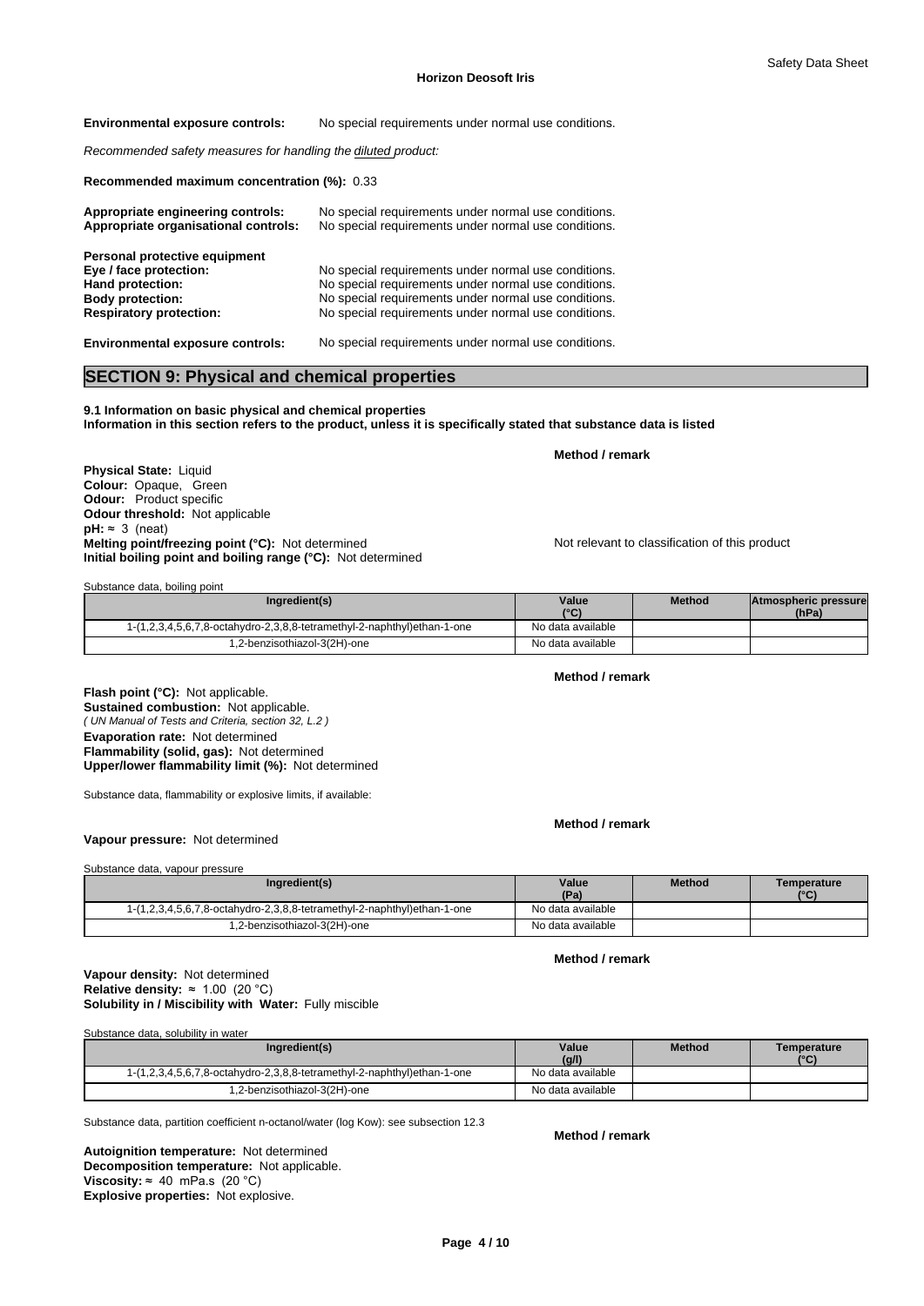**Environmental exposure controls:** No special requirements under normal use conditions.

*Recommended safety measures for handling the diluted product:*

**Recommended maximum concentration (%):** 0.33

| Appropriate engineering controls:<br>Appropriate organisational controls: | No special requirements under normal use conditions.<br>No special requirements under normal use conditions. |
|---------------------------------------------------------------------------|--------------------------------------------------------------------------------------------------------------|
| Personal protective equipment                                             |                                                                                                              |
| Eye / face protection:                                                    | No special requirements under normal use conditions.                                                         |
| Hand protection:                                                          | No special requirements under normal use conditions.                                                         |
| <b>Body protection:</b>                                                   | No special requirements under normal use conditions.                                                         |
| <b>Respiratory protection:</b>                                            | No special requirements under normal use conditions.                                                         |
| <b>Environmental exposure controls:</b>                                   | No special requirements under normal use conditions.                                                         |

### **SECTION 9: Physical and chemical properties**

**9.1 Information on basic physical and chemical properties Information in this section refers to the product, unless it is specifically stated that substance data is listed**

**Physical State: Liquid Colour:** Opaque, Green **Odour:** Product specific **Odour threshold:** Not applicable  $pH: ~ 3$  (neat) **Melting point/freezing point (°C):** Not determined Not relevant to classification of this product **Initial boiling point and boiling range (°C):** Not determined

Substance data, boiling point

| Ingredient(s)                                                           | Value<br>$10^{\circ}$<br>w | <b>Method</b> | Atmospheric pressure<br>(hPa) |  |
|-------------------------------------------------------------------------|----------------------------|---------------|-------------------------------|--|
| 1-(1,2,3,4,5,6,7,8-octahydro-2,3,8,8-tetramethyl-2-naphthyl)ethan-1-one | No data available          |               |                               |  |
| .2-benzisothiazol-3(2H)-one                                             | No data available          |               |                               |  |

**Method / remark**

**Method / remark**

**Method / remark**

**Method / remark**

*( UN Manual of Tests and Criteria, section 32, L.2 )* **Flash point (°C):** Not applicable. **Sustained combustion:** Not applicable. **Evaporation rate:** Not determined **Flammability (solid, gas):** Not determined **Upper/lower flammability limit (%):** Not determined

Substance data, flammability or explosive limits, if available:

### **Vapour pressure:** Not determined

Substance data, vapour pressure **Ingredient(s) Value Value Method (Pa)**<br>No data available **Temperature (°C)** 1-(1,2,3,4,5,6,7,8-octahydro-2,3,8,8-tetramethyl-2-naphthyl)ethan-1-one 1.2-benzisothiazol-3(2H)-one No data available

**Solubility in / Miscibility with Water:** Fully miscible **Vapour density:** Not determined **Relative density:** ≈1.00(20°C)

| Substance data, solubility in water                                     |                   |               |                     |
|-------------------------------------------------------------------------|-------------------|---------------|---------------------|
| Ingredient(s)                                                           | Value<br>(g/l)    | <b>Method</b> | Temperature<br>(°C) |
| 1-(1,2,3,4,5,6,7,8-octahydro-2,3,8,8-tetramethyl-2-naphthyl)ethan-1-one | No data available |               |                     |
| 1,2-benzisothiazol-3(2H)-one                                            | No data available |               |                     |

Substance data, partition coefficient n-octanol/water (log Kow): see subsection 12.3

**Decomposition temperature:** Not applicable. **Autoignition temperature:** Not determined **Viscosity:**  $\approx$  40 mPa.s (20 °C) **Explosive properties:** Not explosive.

**Method / remark**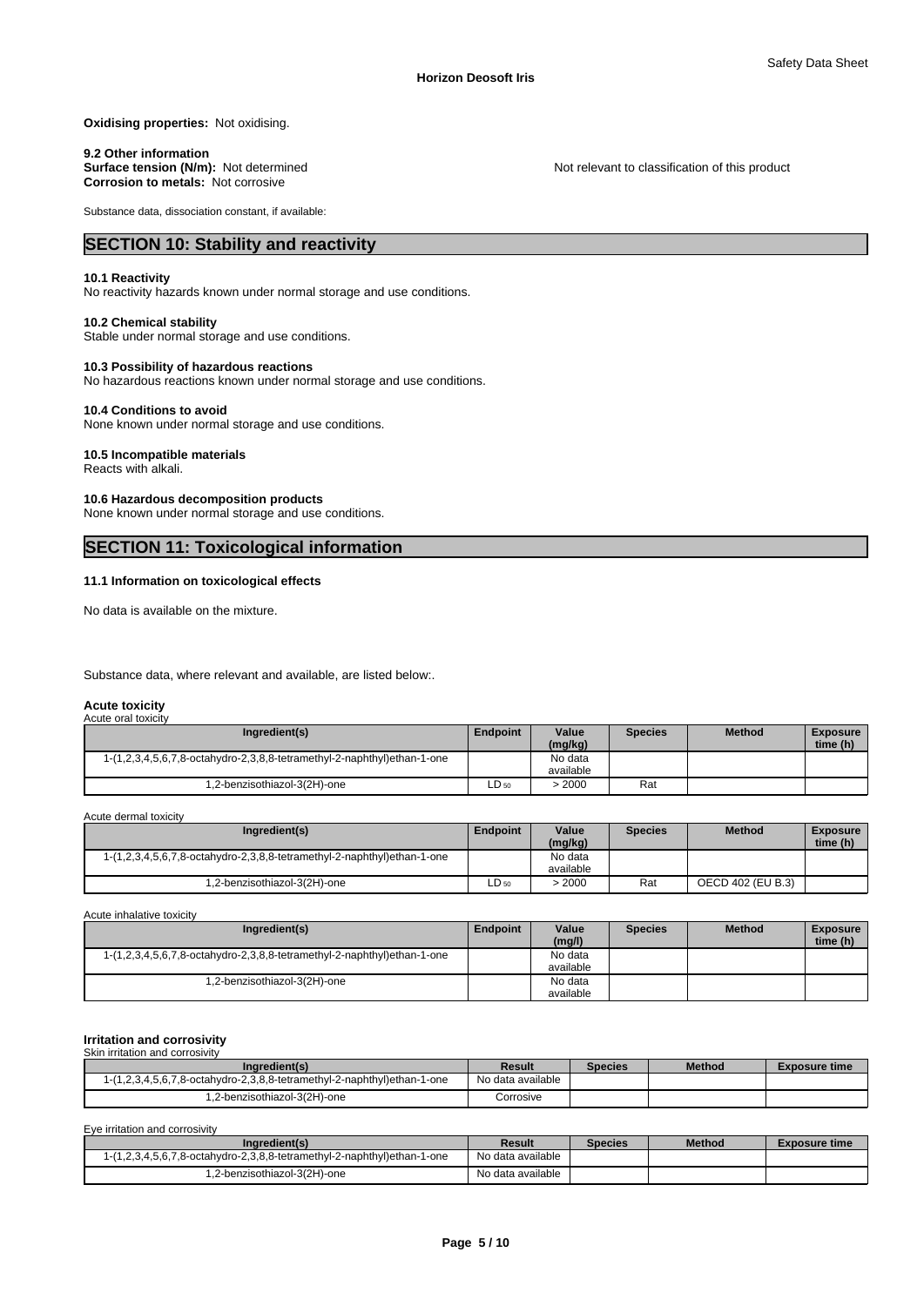**Oxidising properties:** Not oxidising.

9.2 Other information<br>Surface tension (N/m): Not determined **Corrosion to metals:** Not corrosive

Substance data, dissociation constant, if available:

### **SECTION 10: Stability and reactivity**

### **10.1 Reactivity**

No reactivity hazards known under normal storage and use conditions.

#### **10.2 Chemical stability**

Stable under normal storage and use conditions.

#### **10.3 Possibility of hazardous reactions**

No hazardous reactions known under normal storage and use conditions.

#### **10.4 Conditions to avoid**

None known under normal storage and use conditions.

#### **10.5 Incompatible materials**

Reacts with alkali.

#### **10.6 Hazardous decomposition products**

None known under normal storage and use conditions.

## **SECTION 11: Toxicological information**

#### **11.1 Information on toxicological effects**

No data is available on the mixture.

Substance data, where relevant and available, are listed below:.

#### **Acute toxicity**

| Acute oral toxicity                                                     |           |                      |                |               |                             |
|-------------------------------------------------------------------------|-----------|----------------------|----------------|---------------|-----------------------------|
| Ingredient(s)                                                           | Endpoint  | Value<br>(mg/kg)     | <b>Species</b> | <b>Method</b> | <b>Exposure</b><br>time (h) |
| 1-(1,2,3,4,5,6,7,8-octahydro-2,3,8,8-tetramethyl-2-naphthyl)ethan-1-one |           | No data<br>available |                |               |                             |
| .2-benzisothiazol-3(2H)-one                                             | $LD_{50}$ | 2000 <               | Rat            |               |                             |

Acute dermal toxicity

| Ingredient(s)                                                           | <b>Endpoint</b> | Value<br>(mg/kg)     | Species | <b>Method</b>     | <b>Exposure</b><br>time (h) |  |
|-------------------------------------------------------------------------|-----------------|----------------------|---------|-------------------|-----------------------------|--|
| 1-(1,2,3,4,5,6,7,8-octahydro-2,3,8,8-tetramethyl-2-naphthyl)ethan-1-one |                 | No data<br>available |         |                   |                             |  |
| .2-benzisothiazol-3(2H)-one                                             | $LD_{50}$       | 2000                 | Rat     | OECD 402 (EU B.3) |                             |  |

Acute inhalative toxicity

| Ingredient(s)                                                           | <b>Endpoint</b> | Value<br>(mq/l)      | <b>Species</b> | <b>Method</b> | <b>Exposure</b><br>time (h) |  |
|-------------------------------------------------------------------------|-----------------|----------------------|----------------|---------------|-----------------------------|--|
| 1-(1,2,3,4,5,6,7,8-octahydro-2,3,8,8-tetramethyl-2-naphthyl)ethan-1-one |                 | No data<br>available |                |               |                             |  |
| .2-benzisothiazol-3(2H)-one                                             |                 | No data<br>available |                |               |                             |  |

#### **Irritation and corrosivity** Skin irritation and corrosivity

| Ingredient(s)                                                                            | Result            | <b>Species</b> | <b>Method</b> | <b>Exposure time</b> |
|------------------------------------------------------------------------------------------|-------------------|----------------|---------------|----------------------|
| $1-(1,2,3,4,5,6,7,8\text{-octahydro-2},3,8,8\text{-tetramethyl-2-naphthyl)}$ ethan-1-one | No data available |                |               |                      |
| .2-benzisothiazol-3(2H)-one                                                              | Corrosive         |                |               |                      |

Eye irritation and corrosivity

| Ingredient(s)                                                                            | Result            | <b>Species</b> | <b>Method</b> | Exposure time |
|------------------------------------------------------------------------------------------|-------------------|----------------|---------------|---------------|
| $1-(1,2,3,4,5,6,7,8\text{-octahydro-2},3,8,8\text{-tetramethyl-2-naphthyl)}$ ethan-1-one | No data available |                |               |               |
| 1,2-benzisothiazol-3(2H)-one                                                             | No data available |                |               |               |

Not relevant to classification of this product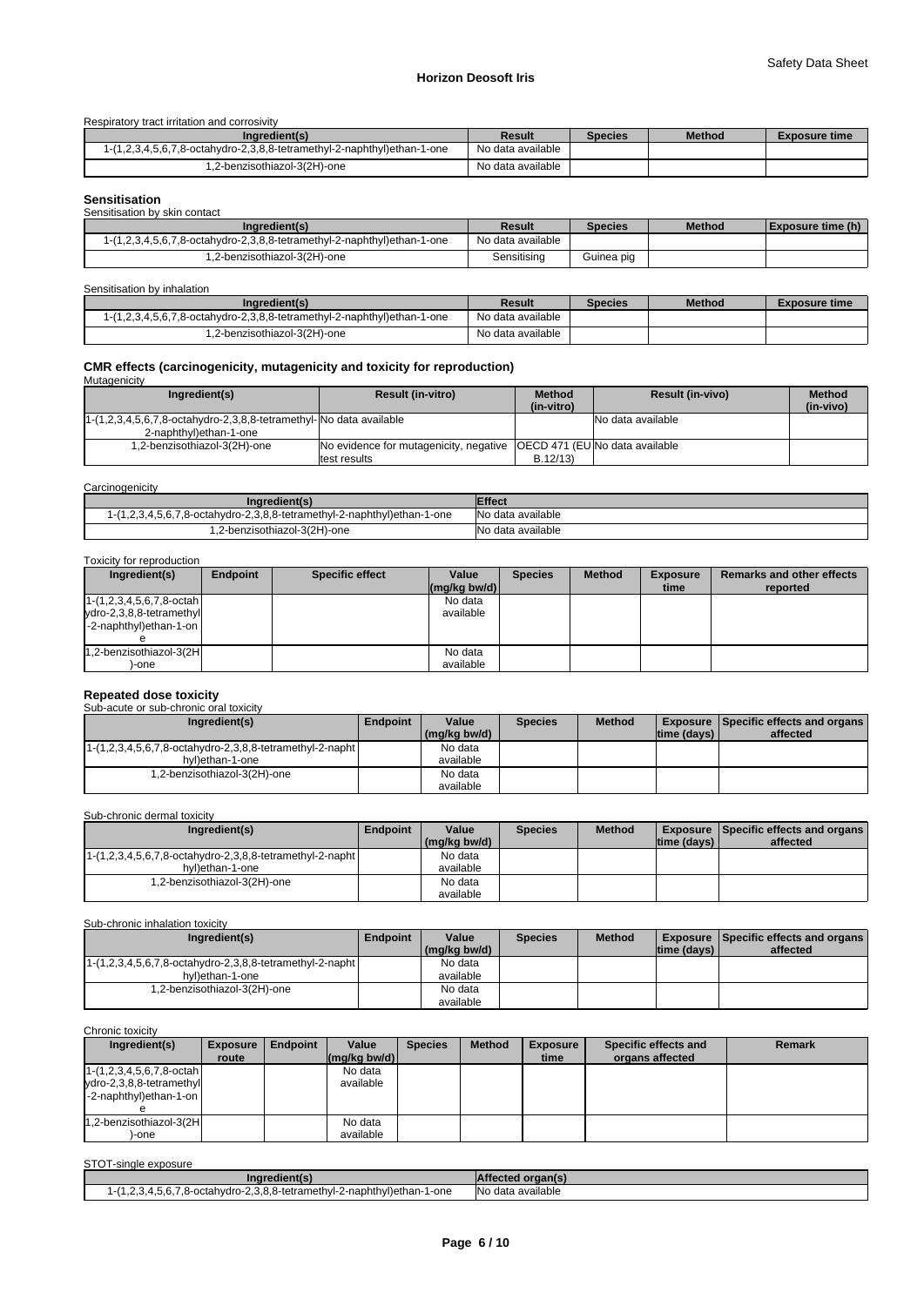### **Horizon Deosoft Iris**

#### Respiratory tract irritation and corrosivity

| Ingredient(s)                                                        | Result            | Species | <b>Method</b> | <b>Exposure time</b> |
|----------------------------------------------------------------------|-------------------|---------|---------------|----------------------|
| 1,2,3,4,5,6,7,8-octahydro-2,3,8,8-tetramethyl-2-naphthyl)ethan-1-one | No data available |         |               |                      |
| .2-benzisothiazol-3(2H)-one                                          | No data available |         |               |                      |

# **Sensitisation**

| <b>UUIIDINDUNUI</b>                                                        |                   |                |               |                          |
|----------------------------------------------------------------------------|-------------------|----------------|---------------|--------------------------|
| Sensitisation by skin contact                                              |                   |                |               |                          |
| (Ingredient(s)                                                             | Result            | <b>Species</b> | <b>Method</b> | <b>Exposure time (h)</b> |
| $1-(1,2,3,4,5,6,7,8$ -octahydro-2,3,8,8-tetramethyl-2-naphthyl)ethan-1-one | No data available |                |               |                          |
| 1,2-benzisothiazol-3(2H)-one                                               | Sensitising       | Guinea pig     |               |                          |

#### Sensitisation by inhalation

| Ingredient(s)                                                           | Result            | <b>Species</b> | <b>Method</b> | <b>Exposure time</b> |
|-------------------------------------------------------------------------|-------------------|----------------|---------------|----------------------|
| 1-(1,2,3,4,5,6,7,8-octahydro-2,3,8,8-tetramethyl-2-naphthyl)ethan-1-one | No data available |                |               |                      |
| .2-benzisothiazol-3(2H)-one                                             | No data available |                |               |                      |

# **CMR effects (carcinogenicity, mutagenicity and toxicity for reproduction)** Mutagenicity

| Ingredient(s)                                                                       | <b>Result (in-vitro)</b>                                              | <b>Method</b><br>(in-vitro) | <b>Result (in-vivo)</b> | <b>Method</b><br>(in-vivo) |
|-------------------------------------------------------------------------------------|-----------------------------------------------------------------------|-----------------------------|-------------------------|----------------------------|
| $1-(1,2,3,4,5,6,7,8-\text{octahydro-2},3,8,8-\text{tetramethyl-NO data available})$ |                                                                       |                             | No data available       |                            |
| 2-naphthyl)ethan-1-one                                                              |                                                                       |                             |                         |                            |
| .2-benzisothiazol-3(2H)-one                                                         | No evidence for mutagenicity, negative (OECD 471 (EUNo data available |                             |                         |                            |
|                                                                                     | ltest results                                                         | B.12/13                     |                         |                            |

### **Carcinogenicity**

| ingredient(s)                                                        | <b>Effect</b>     |
|----------------------------------------------------------------------|-------------------|
| 1,2,3,4,5,6,7,8-octahydro-2,3,8,8-tetramethyl-2-naphthyl)ethan-1-one | No data available |
| 1,2-benzisothiazol-3(2H)-one                                         | No data available |

#### Toxicity for reproduction

| Ingredient(s)                                                                            | <b>Endpoint</b> | <b>Specific effect</b> | Value<br>$\left \frac{\text{mg}}{\text{kg}}\right $ (mg/kg bw/d) | <b>Species</b> | <b>Method</b> | <b>Exposure</b><br>time | <b>Remarks and other effects</b><br>reported |
|------------------------------------------------------------------------------------------|-----------------|------------------------|------------------------------------------------------------------|----------------|---------------|-------------------------|----------------------------------------------|
| $1-(1,2,3,4,5,6,7,8\text{-octah})$<br>ydro-2,3,8,8-tetramethyl<br>-2-naphthyl)ethan-1-on |                 |                        | No data<br>available                                             |                |               |                         |                                              |
| 1,2-benzisothiazol-3(2H<br>-one                                                          |                 |                        | No data<br>available                                             |                |               |                         |                                              |

# **Repeated dose toxicity** Sub-acute or sub-chronic oral toxicity

| Ingredient(s)                                               | Endpoint | Value        | <b>Species</b> | <b>Method</b> |                    | <b>Exposure   Specific effects and organs  </b> |
|-------------------------------------------------------------|----------|--------------|----------------|---------------|--------------------|-------------------------------------------------|
|                                                             |          | (mg/kg bw/d) |                |               | $ time$ (days) $ $ | affected                                        |
| $1-(1,2,3,4,5,6,7,8-octahydro-2,3,8,8-tetramethyl-2-napht)$ |          | No data      |                |               |                    |                                                 |
| hyl)ethan-1-one                                             |          | available    |                |               |                    |                                                 |
| .2-benzisothiazol-3(2H)-one                                 |          | No data      |                |               |                    |                                                 |
|                                                             |          | available    |                |               |                    |                                                 |

### Sub-chronic dermal toxicity

| Ingredient(s)                                              | <b>Endpoint</b> | Value        | <b>Species</b> | <b>Method</b> | <b>Exposure Specific effects and organs I</b> |          |
|------------------------------------------------------------|-----------------|--------------|----------------|---------------|-----------------------------------------------|----------|
|                                                            |                 | (mg/kg bw/d) |                |               | $ time$ (days) $ $                            | affected |
| [1-(1,2,3,4,5,6,7,8-octahydro-2,3,8,8-tetramethyl-2-napht] |                 | No data      |                |               |                                               |          |
| hyl)ethan-1-one                                            |                 | available    |                |               |                                               |          |
| .2-benzisothiazol-3(2H)-one                                |                 | No data      |                |               |                                               |          |
|                                                            |                 | available    |                |               |                                               |          |

Sub-chronic inhalation toxicity

| Ingredient(s)                                               | <b>Endpoint</b> | Value        | <b>Species</b> | <b>Method</b> |             | <b>Exposure Specific effects and organs</b> |
|-------------------------------------------------------------|-----------------|--------------|----------------|---------------|-------------|---------------------------------------------|
|                                                             |                 | (mg/kg bw/d) |                |               | time (days) | affected                                    |
| $1-(1,2,3,4,5,6,7,8-octahydro-2,3,8,8-tetramethyl-2-napht)$ |                 | No data      |                |               |             |                                             |
| hyl)ethan-1-one                                             |                 | available    |                |               |             |                                             |
| .2-benzisothiazol-3(2H)-one                                 |                 | No data      |                |               |             |                                             |
|                                                             |                 | available    |                |               |             |                                             |

#### Chronic toxicity

| Ingredient(s)                      | <b>Exposure</b> | Endpoint | Value                                                   | <b>Species</b> | <b>Method</b> | <b>Exposure</b> | Specific effects and | <b>Remark</b> |
|------------------------------------|-----------------|----------|---------------------------------------------------------|----------------|---------------|-----------------|----------------------|---------------|
|                                    | route           |          | $\left \frac{\text{mg}}{\text{kg}}\right $ (mg/kg bw/d) |                |               | time            | organs affected      |               |
| $1-(1,2,3,4,5,6,7,8\text{-octah})$ |                 |          | No data                                                 |                |               |                 |                      |               |
| ydro-2,3,8,8-tetramethyl           |                 |          | available                                               |                |               |                 |                      |               |
| -2-naphthyl)ethan-1-on             |                 |          |                                                         |                |               |                 |                      |               |
|                                    |                 |          |                                                         |                |               |                 |                      |               |
| 1,2-benzisothiazol-3(2H            |                 |          | No data                                                 |                |               |                 |                      |               |
| -one                               |                 |          | available                                               |                |               |                 |                      |               |

### STOT-single exposure

| ingredient(s)                                                           | Affected organ(s) |
|-------------------------------------------------------------------------|-------------------|
| 1-(1,2,3,4,5,6,7,8-octahydro-2,3,8,8-tetramethyl-2-naphthyl)ethan-1-one | No data available |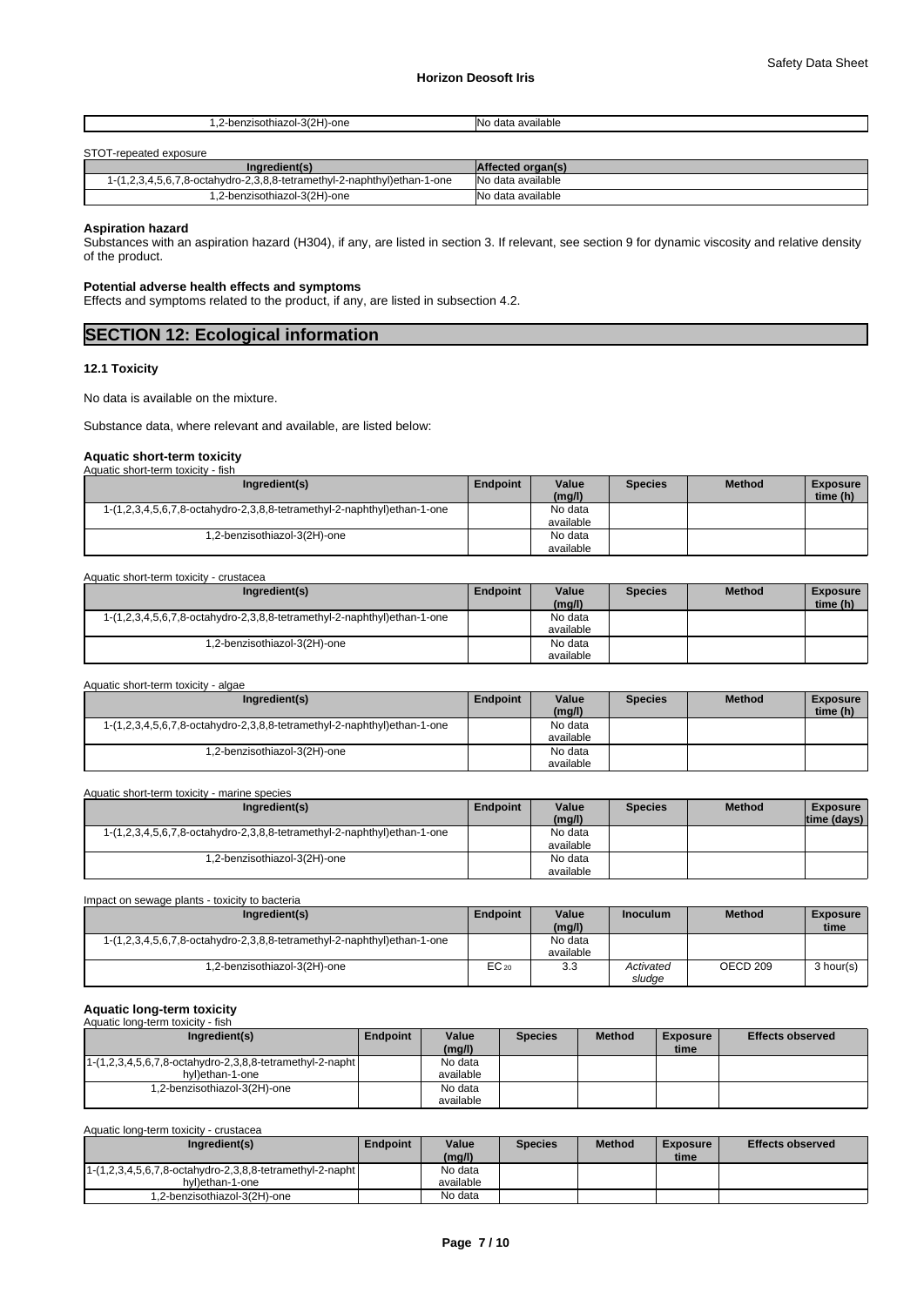| -one<br>$\cdots$<br>.<br><br>.<br>.<br>$\sim$ $\sim$ | available.<br>. |
|------------------------------------------------------|-----------------|
|                                                      |                 |

#### STOT-repeated exposure

| Ingredient(s)                                                                          | <b>Affected organ(s)</b> |
|----------------------------------------------------------------------------------------|--------------------------|
| $(1,2,3,4,5,6,7,8\text{-octahydro-2},3,8,8\text{-tetramethyl-2-naphthyl})$ ethan-1-one | No data available        |
| 1.2-benzisothiazol-3(2H)-one                                                           | No data available        |

### **Aspiration hazard**

Substances with an aspiration hazard (H304), if any, are listed in section 3. If relevant, see section 9 for dynamic viscosity and relative density of the product.

### **Potential adverse health effects and symptoms**

Effects and symptoms related to the product, if any, are listed in subsection 4.2.

## **SECTION 12: Ecological information**

#### **12.1 Toxicity**

No data is available on the mixture.

Substance data, where relevant and available, are listed below:

#### **Aquatic short-term toxicity** Aquatic short-term toxicity - fish

| Ingredient(s)                                                           | <b>Endpoint</b> | Value<br>(mg/l) | <b>Species</b> | <b>Method</b> | <b>Exposure</b><br>time (h) |
|-------------------------------------------------------------------------|-----------------|-----------------|----------------|---------------|-----------------------------|
| 1-(1,2,3,4,5,6,7,8-octahydro-2,3,8,8-tetramethyl-2-naphthyl)ethan-1-one |                 | No data         |                |               |                             |
|                                                                         |                 | available       |                |               |                             |
| 1,2-benzisothiazol-3(2H)-one                                            |                 | No data         |                |               |                             |
|                                                                         |                 | available       |                |               |                             |

#### Aquatic short-term toxicity - crustacea

| Ingredient(s)                                                           | <b>Endpoint</b> | Value<br>(mg/l) | <b>Species</b> | <b>Method</b> | <b>Exposure</b><br>time (h) |  |
|-------------------------------------------------------------------------|-----------------|-----------------|----------------|---------------|-----------------------------|--|
| 1-(1,2,3,4,5,6,7,8-octahydro-2,3,8,8-tetramethyl-2-naphthyl)ethan-1-one |                 | No data         |                |               |                             |  |
|                                                                         |                 | available       |                |               |                             |  |
| .2-benzisothiazol-3(2H)-one                                             |                 | No data         |                |               |                             |  |
|                                                                         |                 | available       |                |               |                             |  |

| Aquatic short-term toxicity - algae                                     |          |                 |                |               |                             |
|-------------------------------------------------------------------------|----------|-----------------|----------------|---------------|-----------------------------|
| Ingredient(s)                                                           | Endpoint | Value<br>(mg/l) | <b>Species</b> | <b>Method</b> | <b>Exposure</b><br>time (h) |
| 1-(1,2,3,4,5,6,7,8-octahydro-2,3,8,8-tetramethyl-2-naphthyl)ethan-1-one |          | No data         |                |               |                             |
|                                                                         |          | available       |                |               |                             |
| .2-benzisothiazol-3(2H)-one                                             |          | No data         |                |               |                             |
|                                                                         |          | available       |                |               |                             |

| Aquatic short-term toxicity - marine species                            |          |                      |                |               |                                 |
|-------------------------------------------------------------------------|----------|----------------------|----------------|---------------|---------------------------------|
| Ingredient(s)                                                           | Endpoint | Value<br>(mg/l)      | <b>Species</b> | <b>Method</b> | <b>Exposure</b><br> time (days) |
| 1-(1,2,3,4,5,6,7,8-octahydro-2,3,8,8-tetramethyl-2-naphthyl)ethan-1-one |          | No data<br>available |                |               |                                 |
| .2-benzisothiazol-3(2H)-one                                             |          | No data<br>available |                |               |                                 |

| Impact on sewage plants - toxicity to bacteria                          |                 |                      |                     |               |                         |  |  |  |
|-------------------------------------------------------------------------|-----------------|----------------------|---------------------|---------------|-------------------------|--|--|--|
| Ingredient(s)                                                           | <b>Endpoint</b> | Value<br>(mg/l)      | <b>Inoculum</b>     | <b>Method</b> | <b>Exposure</b><br>time |  |  |  |
| 1-(1,2,3,4,5,6,7,8-octahydro-2,3,8,8-tetramethyl-2-naphthyl)ethan-1-one |                 | No data<br>available |                     |               |                         |  |  |  |
| .2-benzisothiazol-3(2H)-one                                             | $EC_{20}$       | 3.3                  | Activated<br>sludge | OECD 209      | 3 hour(s)               |  |  |  |

### **Aquatic long-term toxicity**

| Aquatic long-term toxicity - fish                                         |          |           |                |               |                 |                         |
|---------------------------------------------------------------------------|----------|-----------|----------------|---------------|-----------------|-------------------------|
| Ingredient(s)                                                             | Endpoint | Value     | <b>Species</b> | <b>Method</b> | <b>Exposure</b> | <b>Effects observed</b> |
|                                                                           |          | (mq/l)    |                |               | time            |                         |
| $1-(1,2,3,4,5,6,7,8-\text{octahydro-2},3,8,8-\text{tetramethyl-2-napht})$ |          | No data   |                |               |                 |                         |
| hyl)ethan-1-one                                                           |          | available |                |               |                 |                         |
| 1.2-benzisothiazol-3(2H)-one                                              |          | No data   |                |               |                 |                         |
|                                                                           |          | available |                |               |                 |                         |

Aquatic long-term toxicity - crustacea

| Ingredient(s)                                                             | Endpoint | Value<br>(mg/l) | <b>Species</b> | <b>Method</b> | Exposure<br>time | <b>Effects observed</b> |
|---------------------------------------------------------------------------|----------|-----------------|----------------|---------------|------------------|-------------------------|
| $1-(1,2,3,4,5,6,7,8-\text{octahydro-2},3,8,8-\text{tetramethyl-2-napht})$ |          | No data         |                |               |                  |                         |
| hyl)ethan-1-one                                                           |          | available       |                |               |                  |                         |
| 1,2-benzisothiazol-3(2H)-one                                              |          | No data         |                |               |                  |                         |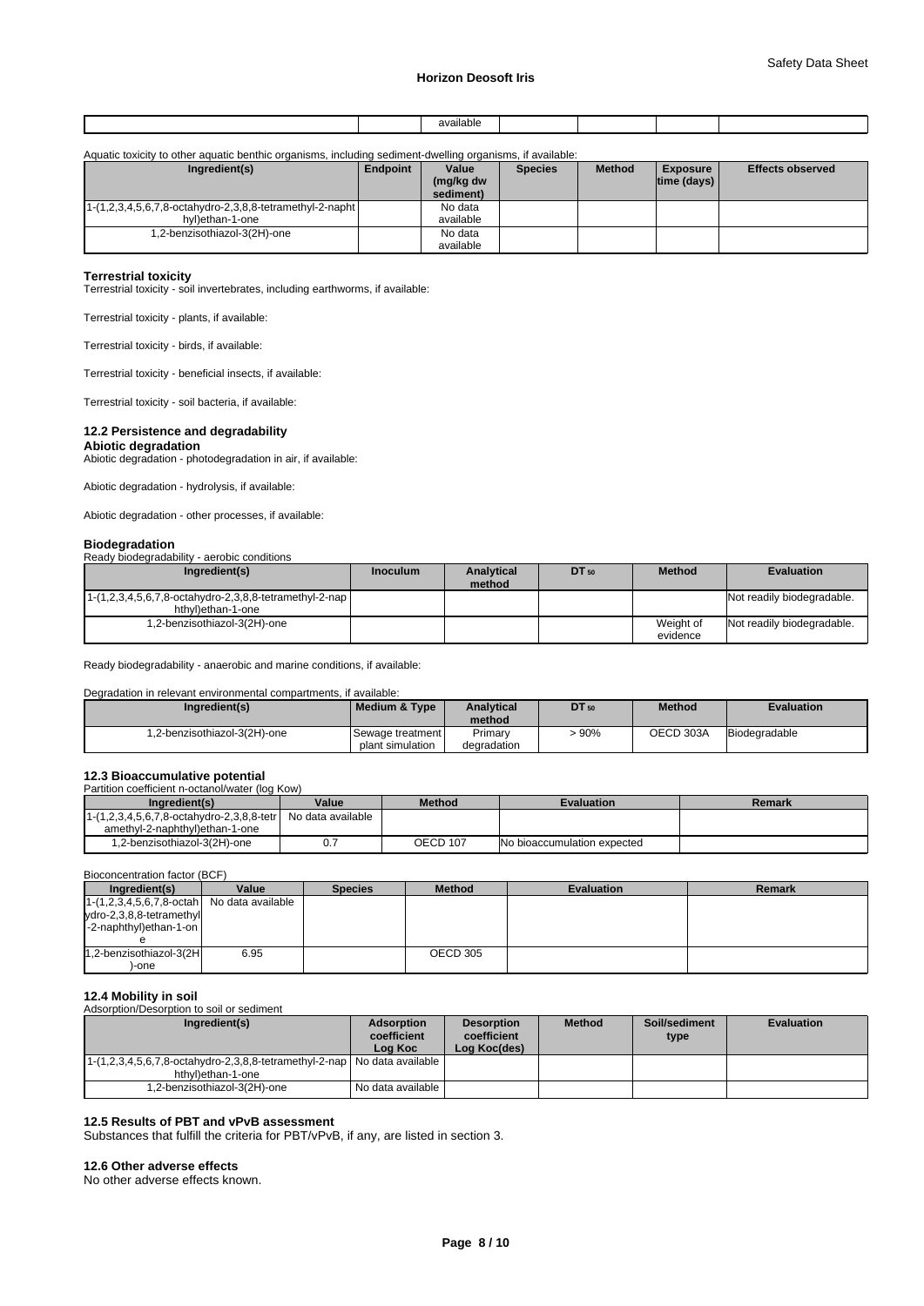|  | างร<br>'iable<br>. |  |  |
|--|--------------------|--|--|
|  |                    |  |  |

| Aquatic toxicity to other aquatic benthic organisms, including sediment-dwelling organisms, if available: |                 |           |                |               |                    |                         |
|-----------------------------------------------------------------------------------------------------------|-----------------|-----------|----------------|---------------|--------------------|-------------------------|
| Ingredient(s)                                                                                             | <b>Endpoint</b> | Value     | <b>Species</b> | <b>Method</b> | <b>Exposure</b>    | <b>Effects observed</b> |
|                                                                                                           |                 | (mg/kg dw |                |               | $ time$ (days) $ $ |                         |
|                                                                                                           |                 | sediment) |                |               |                    |                         |
| $1-(1,2,3,4,5,6,7,8-octahydro-2,3,8,8-tetramethyl-2-napht)$                                               |                 | No data   |                |               |                    |                         |
| hyl)ethan-1-one                                                                                           |                 | available |                |               |                    |                         |
| .2-benzisothiazol-3(2H)-one                                                                               |                 | No data   |                |               |                    |                         |
|                                                                                                           |                 | available |                |               |                    |                         |

**Terrestrial toxicity** Terrestrial toxicity - soil invertebrates, including earthworms, if available:

Terrestrial toxicity - plants, if available:

Terrestrial toxicity - birds, if available:

Terrestrial toxicity - beneficial insects, if available:

Terrestrial toxicity - soil bacteria, if available:

### **12.2 Persistence and degradability**

### **Abiotic degradation**

Abiotic degradation - photodegradation in air, if available:

Abiotic degradation - hydrolysis, if available:

Abiotic degradation - other processes, if available:

#### **Biodegradation**

|  | Ready biodegradability - aerobic conditions |  |
|--|---------------------------------------------|--|
|  |                                             |  |

| Ingredient(s)                                                                               | <b>Inoculum</b> | <b>Analytical</b><br>method | DT 50 | <b>Method</b>         | <b>Evaluation</b>          |
|---------------------------------------------------------------------------------------------|-----------------|-----------------------------|-------|-----------------------|----------------------------|
| $1-(1,2,3,4,5,6,7,8-\text{octahydro-2},3,8,8-\text{tetramethyl-2-nap})$<br>hthylethan-1-one |                 |                             |       |                       | Not readily biodegradable. |
| 1,2-benzisothiazol-3(2H)-one                                                                |                 |                             |       | Weight of<br>evidence | Not readily biodegradable. |

Ready biodegradability - anaerobic and marine conditions, if available:

#### Degradation in relevant environmental compartments, if available:

| Ingredient(s)                | l Medium & Tvpe  | Analvtical<br>method | <b>DT</b> 50 | <b>Method</b> | <b>Evaluation</b> |
|------------------------------|------------------|----------------------|--------------|---------------|-------------------|
| 1.2-benzisothiazol-3(2H)-one | Sewage treatment | Primary              | 90%          | OECD 303A     | Biodegradable     |
|                              | plant simulation | degradation          |              |               |                   |

# **12.3 Bioaccumulative potential**<br>Partition coefficient n-octanol/water (log Kow)

| .                                       |                   |               |                             |        |
|-----------------------------------------|-------------------|---------------|-----------------------------|--------|
| Ingredient(s)                           | Value             | <b>Method</b> | <b>Evaluation</b>           | Remark |
| (1,2,3,4,5,6,7,8-octahydro-2,3,8,8-tetr | No data available |               |                             |        |
| amethyl-2-naphthyl)ethan-1-one          |                   |               |                             |        |
| 1,2-benzisothiazol-3(2H)-one            | υ.                | OECD 107      | No bioaccumulation expected |        |

#### Bioconcentration factor (BCF)

| Ingredient(s)                                        | Value | <b>Species</b> | <b>Method</b> | <b>Evaluation</b> | <b>Remark</b> |
|------------------------------------------------------|-------|----------------|---------------|-------------------|---------------|
| $1-(1,2,3,4,5,6,7,8\text{-octah})$ No data available |       |                |               |                   |               |
| ydro-2,3,8,8-tetramethyl                             |       |                |               |                   |               |
| $\left $ -2-naphthyl)ethan-1-on                      |       |                |               |                   |               |
|                                                      |       |                |               |                   |               |
| 1.2-benzisothiazol-3(2H                              | 6.95  |                | OECD 305      |                   |               |
| -one                                                 |       |                |               |                   |               |

#### **12.4 Mobility in soil** . . .<br>n to soil or sediment

| Ingredient(s)                                                                                     | <b>Adsorption</b><br>coefficient<br>Log Koc | <b>Desorption</b><br>coefficient<br>Log Koc(des) | <b>Method</b> | Soil/sediment<br>type | <b>Evaluation</b> |
|---------------------------------------------------------------------------------------------------|---------------------------------------------|--------------------------------------------------|---------------|-----------------------|-------------------|
| 1-(1,2,3,4,5,6,7,8-octahydro-2,3,8,8-tetramethyl-2-nap   No data available  <br>hthyl)ethan-1-one |                                             |                                                  |               |                       |                   |
| 1.2-benzisothiazol-3(2H)-one                                                                      | No data available I                         |                                                  |               |                       |                   |

### **12.5 Results of PBT and vPvB assessment**

Substances that fulfill the criteria for PBT/vPvB, if any, are listed in section 3.

#### **12.6 Other adverse effects**

No other adverse effects known.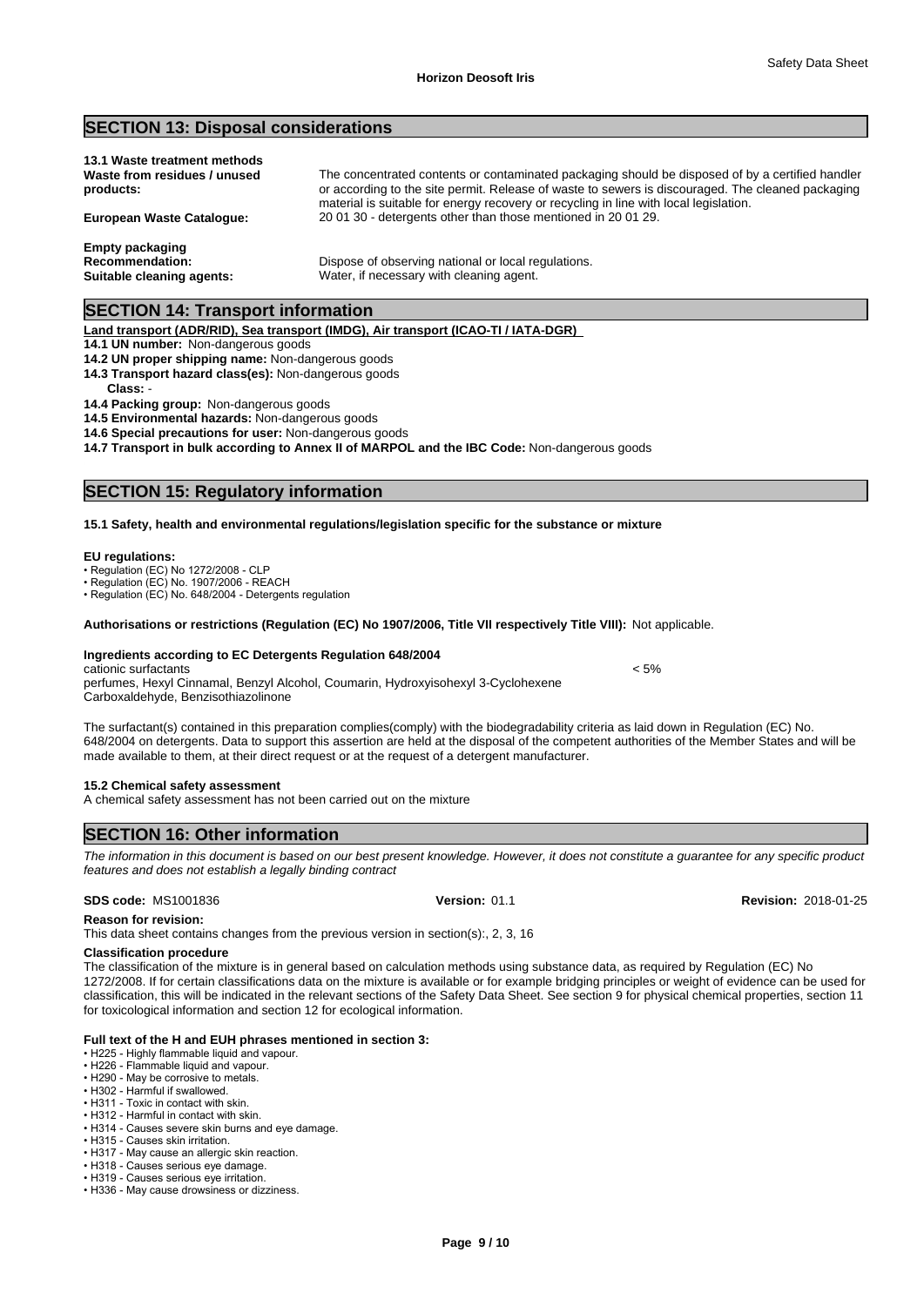### **SECTION 13: Disposal considerations**

| 13.1 Waste treatment methods<br>Waste from residues / unused<br>products: | The concentrated contents or contaminated packaging should be disposed of by a certified handler<br>or according to the site permit. Release of waste to sewers is discouraged. The cleaned packaging |
|---------------------------------------------------------------------------|-------------------------------------------------------------------------------------------------------------------------------------------------------------------------------------------------------|
| European Waste Cataloque:                                                 | material is suitable for energy recovery or recycling in line with local legislation.<br>200130 - detergents other than those mentioned in 200129.                                                    |
| Empty packaging<br><b>Recommendation:</b>                                 | Dispose of observing national or local regulations.                                                                                                                                                   |

**Suitable cleaning agents:** Water, if necessary with cleaning agent.

### **SECTION 14: Transport information**

#### **Land transport (ADR/RID), Sea transport (IMDG), Air transport (ICAO-TI / IATA-DGR)**

### **14.1 UN number:** Non-dangerous goods

**14.2 UN proper shipping name:** Non-dangerous goods

**14.3 Transport hazard class(es):** Non-dangerous goods

**Class:** -

### **14.4 Packing group:** Non-dangerous goods

**14.5 Environmental hazards:** Non-dangerous goods

**14.6 Special precautions for user:** Non-dangerous goods

**14.7 Transport in bulk according to Annex II of MARPOL and the IBC Code:** Non-dangerous goods

### **SECTION 15: Regulatory information**

#### **15.1 Safety, health and environmental regulations/legislation specific for the substance or mixture**

#### **EU regulations:**

- Regulation (EC) No 1272/2008 CLP
- Regulation (EC) No. 1907/2006 REACH

• Regulation (EC) No. 648/2004 - Detergents regulation

#### **Authorisations or restrictions (Regulation (EC) No 1907/2006, Title VII respectively Title VIII):** Not applicable.

#### **Ingredients according to EC Detergents Regulation 648/2004**

cationic surfactants < 5% perfumes, Hexyl Cinnamal, Benzyl Alcohol, Coumarin, Hydroxyisohexyl 3-Cyclohexene Carboxaldehyde, Benzisothiazolinone

The surfactant(s) contained in this preparation complies(comply) with the biodegradability criteria as laid down in Regulation (EC) No. 648/2004 on detergents. Data to support this assertion are held at the disposal of the competent authorities of the Member States and will be made available to them, at their direct request or at the request of a detergent manufacturer.

#### **15.2 Chemical safety assessment**

A chemical safety assessment has not been carried out on the mixture

### **SECTION 16: Other information**

*The information in this document is based on our best present knowledge. However, it does not constitute a guarantee for any specific product features and does not establish a legally binding contract*

**SDS code:** MS1001836 **Version:** 01.1 **Revision:** 2018-01-25

**Reason for revision:**

This data sheet contains changes from the previous version in section(s):, 2, 3, 16

#### **Classification procedure**

The classification of the mixture is in general based on calculation methods using substance data, as required by Regulation (EC) No 1272/2008. If for certain classifications data on the mixture is available or for example bridging principles or weight of evidence can be used for classification, this will be indicated in the relevant sections of the Safety Data Sheet. See section 9 for physical chemical properties, section 11 for toxicological information and section 12 for ecological information.

#### **Full text of the H and EUH phrases mentioned in section 3:**

• H225 - Highly flammable liquid and vapour.

- H226 Flammable liquid and vapour.
- H290 May be corrosive to metals
- H302 Harmful if swallowed. • H311 - Toxic in contact with skin.
- H312 Harmful in contact with skin.
- H314 Causes severe skin burns and eye damage.
- H315 Causes skin irritation.
- H317 May cause an allergic skin reaction.
- H318 Causes serious eye damage.
- H319 Causes serious eye irritation. • H336 - May cause drowsiness or dizziness.